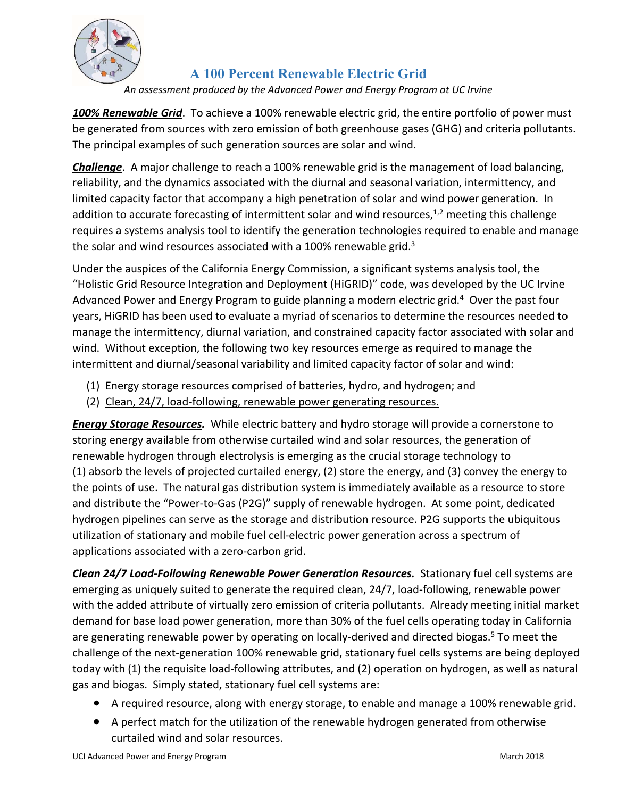

## **A 100 Percent Renewable Electric Grid**

*An assessment produced by the Advanced Power and Energy Program at UC Irvine* 

*100% Renewable Grid*. To achieve a 100% renewable electric grid, the entire portfolio of power must be generated from sources with zero emission of both greenhouse gases (GHG) and criteria pollutants. The principal examples of such generation sources are solar and wind.

*Challenge*. A major challenge to reach a 100% renewable grid is the management of load balancing, reliability, and the dynamics associated with the diurnal and seasonal variation, intermittency, and limited capacity factor that accompany a high penetration of solar and wind power generation. In addition to accurate forecasting of intermittent solar and wind resources,  $1,2$  meeting this challenge requires a systems analysis tool to identify the generation technologies required to enable and manage the solar and wind resources associated with a 100% renewable grid. $3$ 

Under the auspices of the California Energy Commission, a significant systems analysis tool, the "Holistic Grid Resource Integration and Deployment (HiGRID)" code, was developed by the UC Irvine Advanced Power and Energy Program to guide planning a modern electric grid.<sup>4</sup> Over the past four years, HiGRID has been used to evaluate a myriad of scenarios to determine the resources needed to manage the intermittency, diurnal variation, and constrained capacity factor associated with solar and wind. Without exception, the following two key resources emerge as required to manage the intermittent and diurnal/seasonal variability and limited capacity factor of solar and wind:

- (1) Energy storage resources comprised of batteries, hydro, and hydrogen; and
- (2) Clean, 24/7, load-following, renewable power generating resources.

*Energy Storage Resources.* While electric battery and hydro storage will provide a cornerstone to storing energy available from otherwise curtailed wind and solar resources, the generation of renewable hydrogen through electrolysis is emerging as the crucial storage technology to (1) absorb the levels of projected curtailed energy, (2) store the energy, and (3) convey the energy to the points of use. The natural gas distribution system is immediately available as a resource to store and distribute the "Power‐to‐Gas (P2G)" supply of renewable hydrogen. At some point, dedicated hydrogen pipelines can serve as the storage and distribution resource. P2G supports the ubiquitous utilization of stationary and mobile fuel cell‐electric power generation across a spectrum of applications associated with a zero‐carbon grid.

*Clean 24/7 Load‐Following Renewable Power Generation Resources.* Stationary fuel cell systems are emerging as uniquely suited to generate the required clean, 24/7, load-following, renewable power with the added attribute of virtually zero emission of criteria pollutants. Already meeting initial market demand for base load power generation, more than 30% of the fuel cells operating today in California are generating renewable power by operating on locally-derived and directed biogas.<sup>5</sup> To meet the challenge of the next‐generation 100% renewable grid, stationary fuel cells systems are being deployed today with (1) the requisite load‐following attributes, and (2) operation on hydrogen, as well as natural gas and biogas. Simply stated, stationary fuel cell systems are:

- A required resource, along with energy storage, to enable and manage a 100% renewable grid.
- A perfect match for the utilization of the renewable hydrogen generated from otherwise curtailed wind and solar resources.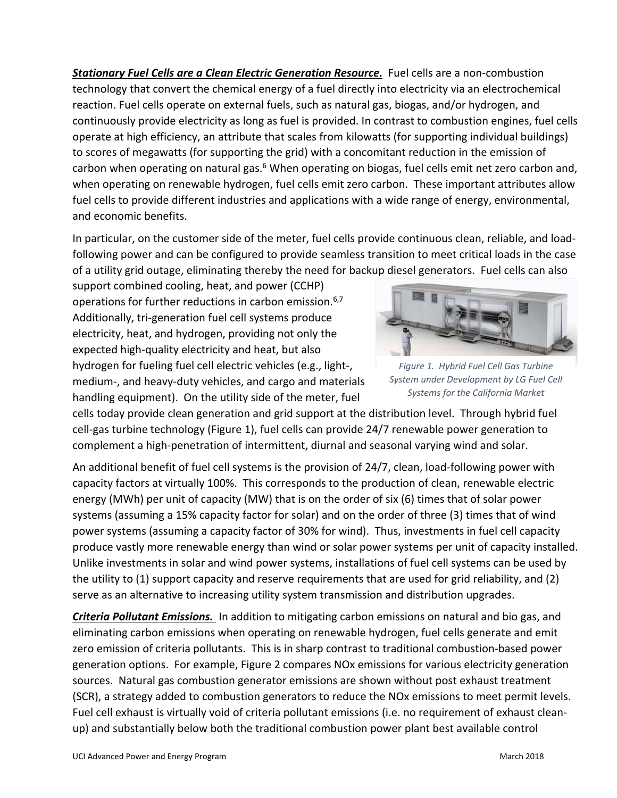**Stationary Fuel Cells are a Clean Electric Generation Resource.** Fuel cells are a non-combustion technology that convert the chemical energy of a fuel directly into electricity via an electrochemical reaction. Fuel cells operate on external fuels, such as natural gas, biogas, and/or hydrogen, and continuously provide electricity as long as fuel is provided. In contrast to combustion engines, fuel cells operate at high efficiency, an attribute that scales from kilowatts (for supporting individual buildings) to scores of megawatts (for supporting the grid) with a concomitant reduction in the emission of carbon when operating on natural gas.<sup>6</sup> When operating on biogas, fuel cells emit net zero carbon and, when operating on renewable hydrogen, fuel cells emit zero carbon. These important attributes allow fuel cells to provide different industries and applications with a wide range of energy, environmental, and economic benefits.

In particular, on the customer side of the meter, fuel cells provide continuous clean, reliable, and load‐ following power and can be configured to provide seamless transition to meet critical loads in the case of a utility grid outage, eliminating thereby the need for backup diesel generators. Fuel cells can also

support combined cooling, heat, and power (CCHP) operations for further reductions in carbon emission.6,7 Additionally, tri‐generation fuel cell systems produce electricity, heat, and hydrogen, providing not only the expected high‐quality electricity and heat, but also hydrogen for fueling fuel cell electric vehicles (e.g., light‐, medium‐, and heavy‐duty vehicles, and cargo and materials handling equipment). On the utility side of the meter, fuel



*Figure 1. Hybrid Fuel Cell Gas Turbine System under Development by LG Fuel Cell Systems for the California Market*

cells today provide clean generation and grid support at the distribution level. Through hybrid fuel cell‐gas turbine technology (Figure 1), fuel cells can provide 24/7 renewable power generation to complement a high‐penetration of intermittent, diurnal and seasonal varying wind and solar.

An additional benefit of fuel cell systems is the provision of 24/7, clean, load-following power with capacity factors at virtually 100%. This corresponds to the production of clean, renewable electric energy (MWh) per unit of capacity (MW) that is on the order of six (6) times that of solar power systems (assuming a 15% capacity factor for solar) and on the order of three (3) times that of wind power systems (assuming a capacity factor of 30% for wind). Thus, investments in fuel cell capacity produce vastly more renewable energy than wind or solar power systems per unit of capacity installed. Unlike investments in solar and wind power systems, installations of fuel cell systems can be used by the utility to (1) support capacity and reserve requirements that are used for grid reliability, and (2) serve as an alternative to increasing utility system transmission and distribution upgrades.

*Criteria Pollutant Emissions.*  In addition to mitigating carbon emissions on natural and bio gas, and eliminating carbon emissions when operating on renewable hydrogen, fuel cells generate and emit zero emission of criteria pollutants. This is in sharp contrast to traditional combustion‐based power generation options. For example, Figure 2 compares NOx emissions for various electricity generation sources. Natural gas combustion generator emissions are shown without post exhaust treatment (SCR), a strategy added to combustion generators to reduce the NOx emissions to meet permit levels. Fuel cell exhaust is virtually void of criteria pollutant emissions (i.e. no requirement of exhaust clean‐ up) and substantially below both the traditional combustion power plant best available control